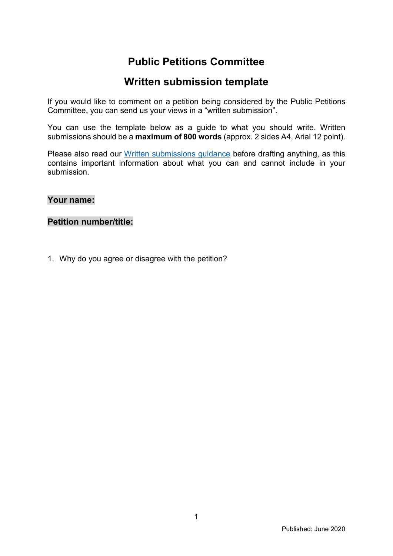## **Public Petitions Committee**

## **Written submission template**

If you would like to comment on a petition being considered by the Public Petitions Committee, you can send us your views in a "written submission".

You can use the template below as a guide to what you should write. Written submissions should be a **maximum of 800 words** (approx. 2 sides A4, Arial 12 point).

Please also read our [Written submissions guidance](http://www.parliament.scot/S5_PublicPetitionsCommittee/General%20Documents/Written_Submissions_Guidance_v2.pdf) before drafting anything, as this contains important information about what you can and cannot include in your submission.

**Your name:**

**Petition number/title:**

1. Why do you agree or disagree with the petition?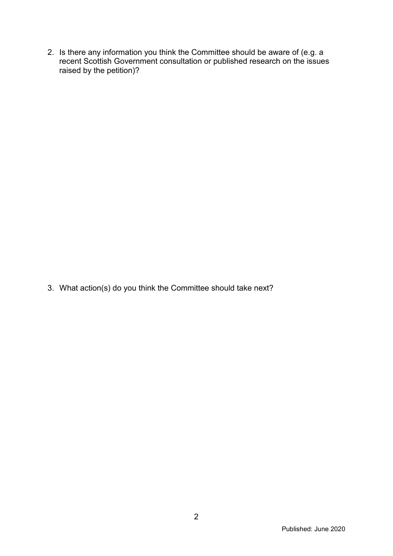2. Is there any information you think the Committee should be aware of (e.g. a recent Scottish Government consultation or published research on the issues raised by the petition)?

3. What action(s) do you think the Committee should take next?